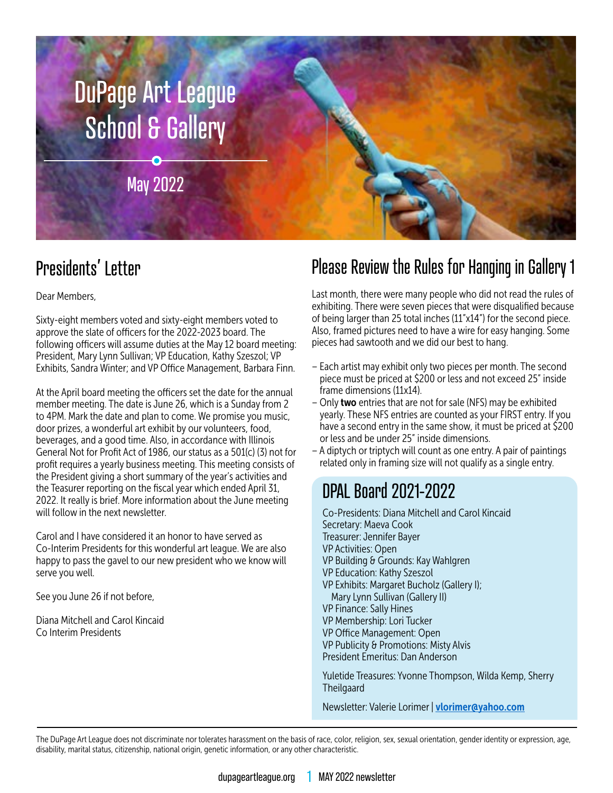

# Presidents' Letter

#### Dear Members,

Sixty-eight members voted and sixty-eight members voted to approve the slate of officers for the 2022-2023 board. The following officers will assume duties at the May 12 board meeting: President, Mary Lynn Sullivan; VP Education, Kathy Szeszol; VP Exhibits, Sandra Winter; and VP Office Management, Barbara Finn.

At the April board meeting the officers set the date for the annual member meeting. The date is June 26, which is a Sunday from 2 to 4PM. Mark the date and plan to come. We promise you music, door prizes, a wonderful art exhibit by our volunteers, food, beverages, and a good time. Also, in accordance with Illinois General Not for Profit Act of 1986, our status as a 501(c) (3) not for profit requires a yearly business meeting. This meeting consists of the President giving a short summary of the year's activities and the Teasurer reporting on the fiscal year which ended April 31, 2022. It really is brief. More information about the June meeting will follow in the next newsletter.

Carol and I have considered it an honor to have served as Co-Interim Presidents for this wonderful art league. We are also happy to pass the gavel to our new president who we know will serve you well.

See you June 26 if not before,

Diana Mitchell and Carol Kincaid Co Interim Presidents

### Please Review the Rules for Hanging in Gallery 1

Last month, there were many people who did not read the rules of exhibiting. There were seven pieces that were disqualified because of being larger than 25 total inches (11"x14") for the second piece. Also, framed pictures need to have a wire for easy hanging. Some pieces had sawtooth and we did our best to hang.

- Each artist may exhibit only two pieces per month. The second piece must be priced at \$200 or less and not exceed 25" inside frame dimensions (11x14).
- Only two entries that are not for sale (NFS) may be exhibited yearly. These NFS entries are counted as your FIRST entry. If you have a second entry in the same show, it must be priced at \$200 or less and be under 25" inside dimensions.
- A diptych or triptych will count as one entry. A pair of paintings related only in framing size will not qualify as a single entry.

### DPAL Board 2021-2022

Co-Presidents: Diana Mitchell and Carol Kincaid Secretary: Maeva Cook Treasurer: Jennifer Bayer VP Activities: Open VP Building & Grounds: Kay Wahlgren VP Education: Kathy Szeszol VP Exhibits: Margaret Bucholz (Gallery I); Mary Lynn Sullivan (Gallery II) VP Finance: Sally Hines VP Membership: Lori Tucker VP Office Management: Open VP Publicity & Promotions: Misty Alvis President Emeritus: Dan Anderson

Yuletide Treasures: Yvonne Thompson, Wilda Kemp, Sherry **Theilgaard** 

Newsletter: Valerie Lorimer | [vlorimer@yahoo.com](mailto:vlorimer%40yahoo.com?subject=)

The DuPage Art League does not discriminate nor tolerates harassment on the basis of race, color, religion, sex, sexual orientation, gender identity or expression, age, disability, marital status, citizenship, national origin, genetic information, or any other characteristic.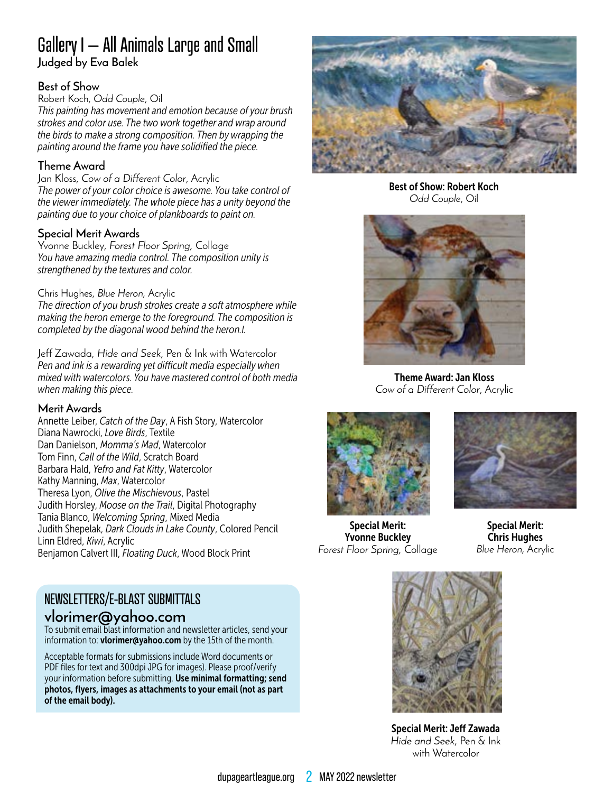# Gallery I – All Animals Large and Small

**Judged by Eva Balek**

#### **Best of Show**

#### Robert Koch, *Odd Couple*, Oil

*This painting has movement and emotion because of your brush strokes and color use. The two work together and wrap around the birds to make a strong composition. Then by wrapping the painting around the frame you have solidified the piece.* 

#### **Theme Award**

Jan Kloss, *Cow of a Different Color*, Acrylic *The power of your color choice is awesome. You take control of the viewer immediately. The whole piece has a unity beyond the painting due to your choice of plankboards to paint on.*

#### **Special Merit Awards**

Yvonne Buckley, *Forest Floor Spring,* Collage *You have amazing media control. The composition unity is strengthened by the textures and color.*

#### Chris Hughes, *Blue Heron,* Acrylic

*The direction of you brush strokes create a soft atmosphere while making the heron emerge to the foreground. The composition is completed by the diagonal wood behind the heron.l.*

Jeff Zawada, *Hide and Seek*, Pen & Ink with Watercolor *Pen and ink is a rewarding yet difficult media especially when mixed with watercolors. You have mastered control of both media when making this piece.*

#### **Merit Awards**

Annette Leiber, *Catch of the Day*, A Fish Story, Watercolor Diana Nawrocki, *Love Birds*, Textile Dan Danielson, *Momma's Mad*, Watercolor Tom Finn, *Call of the Wild*, Scratch Board Barbara Hald, *Yefro and Fat Kitty*, Watercolor Kathy Manning, *Max*, Watercolor Theresa Lyon, *Olive the Mischievous*, Pastel Judith Horsley, *Moose on the Trail*, Digital Photography Tania Blanco, *Welcoming Spring*, Mixed Media Judith Shepelak, *Dark Clouds in Lake County*, Colored Pencil Linn Eldred, *Kiwi*, Acrylic Benjamon Calvert III, *Floating Duck*, Wood Block Print

### NEWSLETTERS/E-BLAST SUBMITTALS **vlorimer@yahoo.com**

To submit email blast information and newsletter articles, send your information to: **vlorimer@yahoo.com** by the 15th of the month.

Acceptable formats for submissions include Word documents or PDF files for text and 300dpi JPG for images). Please proof/verify your information before submitting. Use minimal formatting; send photos, flyers, images as attachments to your email (not as part of the email body).



Best of Show: Robert Koch *Odd Couple*, Oil



Theme Award: Jan Kloss *Cow of a Different Color*, Acrylic





Special Merit: Yvonne Buckley *Forest Floor Spring,* Collage

Special Merit: Chris Hughes *Blue Heron,* Acrylic



Special Merit: Jeff Zawada *Hide and Seek*, Pen & Ink with Watercolor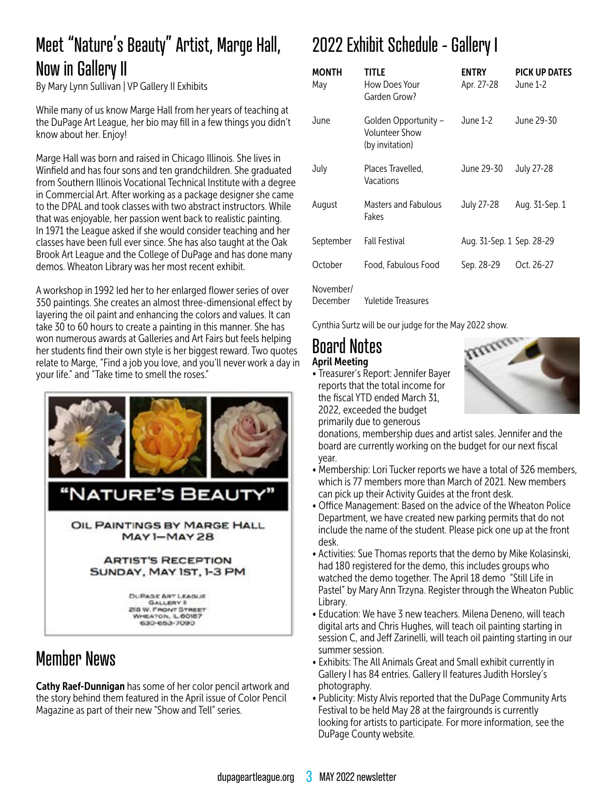# Meet "Nature's Beauty" Artist, Marge Hall, Now in Gallery II

By Mary Lynn Sullivan | VP Gallery II Exhibits

While many of us know Marge Hall from her years of teaching at the DuPage Art League, her bio may fill in a few things you didn't know about her. Enjoy!

Marge Hall was born and raised in Chicago Illinois. She lives in Winfield and has four sons and ten grandchildren. She graduated from Southern Illinois Vocational Technical Institute with a degree in Commercial Art. After working as a package designer she came to the DPAL and took classes with two abstract instructors. While that was enjoyable, her passion went back to realistic painting. In 1971 the League asked if she would consider teaching and her classes have been full ever since. She has also taught at the Oak Brook Art League and the College of DuPage and has done many demos. Wheaton Library was her most recent exhibit.

A workshop in 1992 led her to her enlarged flower series of over 350 paintings. She creates an almost three-dimensional effect by layering the oil paint and enhancing the colors and values. It can take 30 to 60 hours to create a painting in this manner. She has won numerous awards at Galleries and Art Fairs but feels helping her students find their own style is her biggest reward. Two quotes relate to Marge, "Find a job you love, and you'll never work a day in your life." and "Take time to smell the roses."



### Member News

Cathy Raef-Dunnigan has some of her color pencil artwork and the story behind them featured in the April issue of Color Pencil Magazine as part of their new "Show and Tell" series.

# 2022 Exhibit Schedule - Gallery I

| <b>MONTH</b><br>May   | TITLE<br>How Does Your<br>Garden Grow?                           | <b>ENTRY</b><br>Apr. 27-28 | PICK UP DATES<br>June 1-2 |
|-----------------------|------------------------------------------------------------------|----------------------------|---------------------------|
| June                  | Golden Opportunity -<br><b>Volunteer Show</b><br>(by invitation) | June 1-2                   | June 29-30                |
| July                  | Places Travelled,<br>Vacations                                   | June 29-30                 | July 27-28                |
| August                | <b>Masters and Fabulous</b><br>Fakes                             | July 27-28                 | Aug. 31-Sep. 1            |
| September             | <b>Fall Festival</b>                                             | Aug. 31-Sep. 1 Sep. 28-29  |                           |
| October               | Food, Fabulous Food                                              | Sep. 28-29                 | Oct. 26-27                |
| November/<br>December | Yuletide Treasures                                               |                            |                           |

Cynthia Surtz will be our judge for the May 2022 show.

### Board Notes April Meeting

• Treasurer's Report: Jennifer Bayer reports that the total income for the fiscal YTD ended March 31, 2022, exceeded the budget primarily due to generous



donations, membership dues and artist sales. Jennifer and the board are currently working on the budget for our next fiscal year.

- Membership: Lori Tucker reports we have a total of 326 members, which is 77 members more than March of 2021. New members can pick up their Activity Guides at the front desk.
- Office Management: Based on the advice of the Wheaton Police Department, we have created new parking permits that do not include the name of the student. Please pick one up at the front desk.
- Activities: Sue Thomas reports that the demo by Mike Kolasinski, had 180 registered for the demo, this includes groups who watched the demo together. The April 18 demo "Still Life in Pastel" by Mary Ann Trzyna. Register through the Wheaton Public Library.
- Education: We have 3 new teachers. Milena Deneno, will teach digital arts and Chris Hughes, will teach oil painting starting in session C, and Jeff Zarinelli, will teach oil painting starting in our summer session.
- Exhibits: The All Animals Great and Small exhibit currently in Gallery I has 84 entries. Gallery II features Judith Horsley's photography.
- Publicity: Misty Alvis reported that the DuPage Community Arts Festival to be held May 28 at the fairgrounds is currently looking for artists to participate. For more information, see the DuPage County website.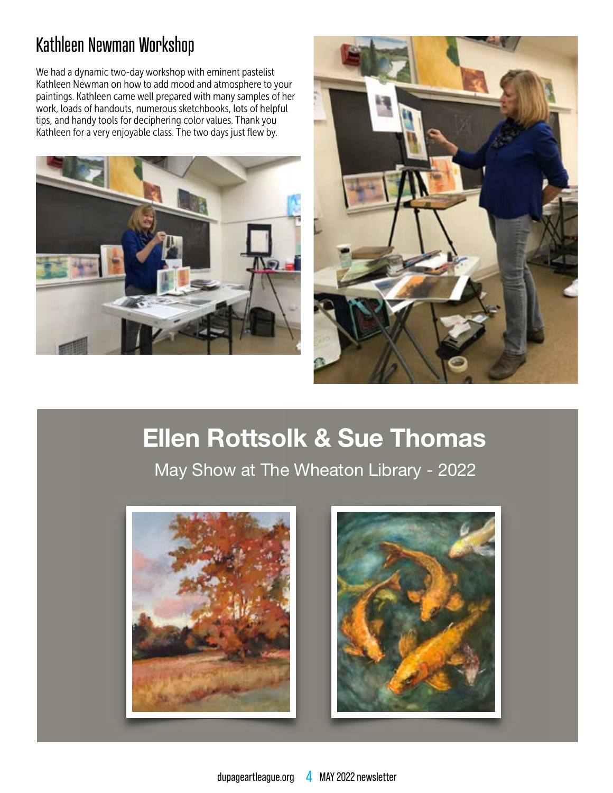### Kathleen Newman Workshop

We had a dynamic two-day workshop with eminent pastelist Kathleen Newman on how to add mood and atmosphere to your paintings. Kathleen came well prepared with many samples of her work, loads of handouts, numerous sketchbooks, lots of helpful tips, and handy tools for deciphering color values. Thank you Kathleen for a very enjoyable class. The two days just flew by.





# **Ellen Rottsolk & Sue Thomas**

May Show at The Wheaton Library - 2022